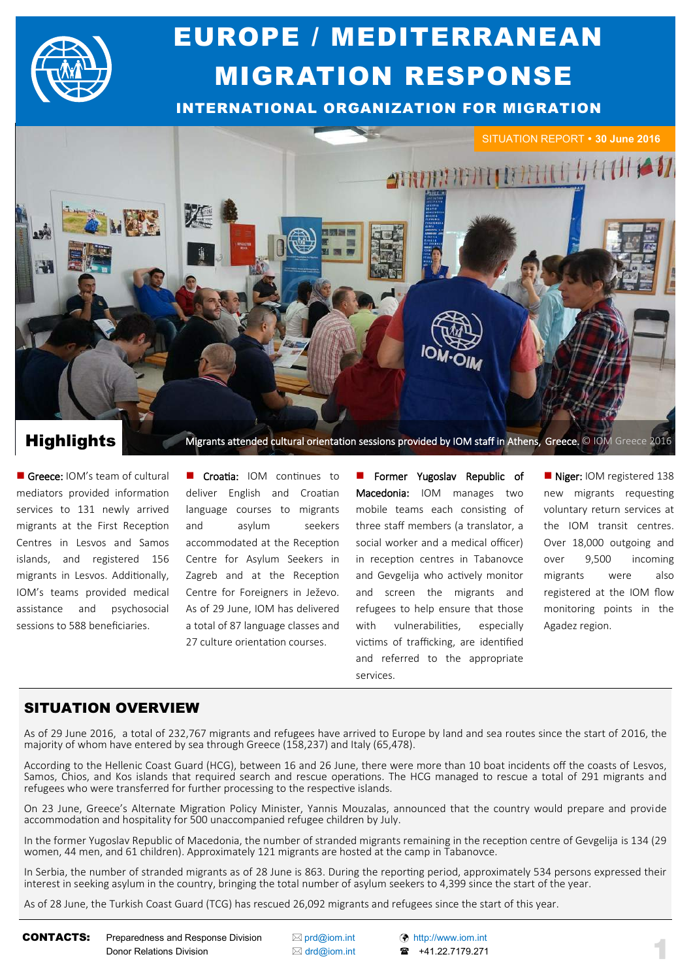

# EUROPE / MEDITERRANEAN MIGRATION RESPONSE

INTERNATIONAL ORGANIZATION FOR MIGRATION



Greece: IOM's team of cultural mediators provided information services to 131 newly arrived migrants at the First Reception Centres in Lesvos and Samos islands, and registered 156 migrants in Lesvos. Additionally, IOM's teams provided medical assistance and psychosocial sessions to 588 beneficiaries.

Croatia: IOM continues to deliver English and Croatian language courses to migrants and asylum seekers accommodated at the Reception Centre for Asylum Seekers in Zagreb and at the Reception Centre for Foreigners in Ježevo. As of 29 June, IOM has delivered a total of 87 language classes and 27 culture orientation courses.

 Former Yugoslav Republic of Macedonia: IOM manages two mobile teams each consisting of three staff members (a translator, a social worker and a medical officer) in reception centres in Tabanovce and Gevgelija who actively monitor and screen the migrants and refugees to help ensure that those with vulnerabilities, especially victims of trafficking, are identified and referred to the appropriate services.

Niger: IOM registered 138 new migrants requesting voluntary return services at the IOM transit centres. Over 18,000 outgoing and over 9,500 incoming migrants were also registered at the IOM flow monitoring points in the Agadez region.

## SITUATION OVERVIEW

As of 29 June 2016, a total of 232,767 migrants and refugees have arrived to Europe by land and sea routes since the start of 2016, the majority of whom have entered by sea through Greece (158,237) and Italy (65,478).

According to the Hellenic Coast Guard (HCG), between 16 and 26 June, there were more than 10 boat incidents off the coasts of Lesvos, Samos, Chios, and Kos islands that required search and rescue operations. The HCG managed to rescue a total of 291 migrants and refugees who were transferred for further processing to the respective islands.

On 23 June, Greece's Alternate Migration Policy Minister, Yannis Mouzalas, announced that the country would prepare and provide accommodation and hospitality for 500 unaccompanied refugee children by July.

In the former Yugoslav Republic of Macedonia, the number of stranded migrants remaining in the reception centre of Gevgelija is 134 (29 women, 44 men, and 61 children). Approximately 121 migrants are hosted at the camp in Tabanovce.

In Serbia, the number of stranded migrants as of 28 June is 863. During the reporting period, approximately 534 persons expressed their interest in seeking asylum in the country, bringing the total number of asylum seekers to 4,399 since the start of the year.

As of 28 June, the Turkish Coast Guard (TCG) has rescued 26,092 migrants and refugees since the start of this year.

**CONTACTS:** Preparedness and Response Division  $\boxtimes$  [prd@iom.int](mailto:prd@IOM.INT)  $\odot$  [http://www.iom.int](http://www.iom.int/) Donor Relations Division △ [drd@iom.int](mailto:DRD@IOM.INT) **☎** +41.22.7179.271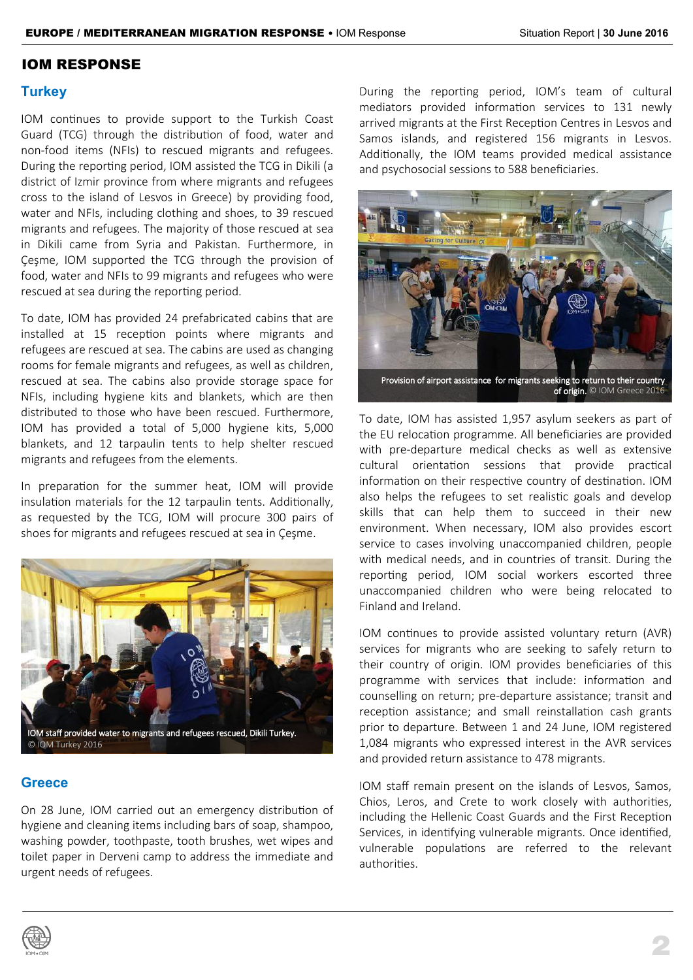### IOM RESPONSE

### **Turkey**

IOM continues to provide support to the Turkish Coast Guard (TCG) through the distribution of food, water and non-food items (NFIs) to rescued migrants and refugees. During the reporting period, IOM assisted the TCG in Dikili (a district of Izmir province from where migrants and refugees cross to the island of Lesvos in Greece) by providing food, water and NFIs, including clothing and shoes, to 39 rescued migrants and refugees. The majority of those rescued at sea in Dikili came from Syria and Pakistan. Furthermore, in Çeşme, IOM supported the TCG through the provision of food, water and NFIs to 99 migrants and refugees who were rescued at sea during the reporting period.

To date, IOM has provided 24 prefabricated cabins that are installed at 15 reception points where migrants and refugees are rescued at sea. The cabins are used as changing rooms for female migrants and refugees, as well as children, rescued at sea. The cabins also provide storage space for NFIs, including hygiene kits and blankets, which are then distributed to those who have been rescued. Furthermore, IOM has provided a total of 5,000 hygiene kits, 5,000 blankets, and 12 tarpaulin tents to help shelter rescued migrants and refugees from the elements.

In preparation for the summer heat, IOM will provide insulation materials for the 12 tarpaulin tents. Additionally, as requested by the TCG, IOM will procure 300 pairs of shoes for migrants and refugees rescued at sea in Çeşme.



### **Greece**

On 28 June, IOM carried out an emergency distribution of hygiene and cleaning items including bars of soap, shampoo, washing powder, toothpaste, tooth brushes, wet wipes and toilet paper in Derveni camp to address the immediate and urgent needs of refugees.

During the reporting period, IOM's team of cultural mediators provided information services to 131 newly arrived migrants at the First Reception Centres in Lesvos and Samos islands, and registered 156 migrants in Lesvos. Additionally, the IOM teams provided medical assistance and psychosocial sessions to 588 beneficiaries.



Provision of airport assistance for migrants seeki eking to return to their country<br>of origin. © IOM Greece 2016

To date, IOM has assisted 1,957 asylum seekers as part of the EU relocation programme. All beneficiaries are provided with pre-departure medical checks as well as extensive cultural orientation sessions that provide practical information on their respective country of destination. IOM also helps the refugees to set realistic goals and develop skills that can help them to succeed in their new environment. When necessary, IOM also provides escort service to cases involving unaccompanied children, people with medical needs, and in countries of transit. During the reporting period, IOM social workers escorted three unaccompanied children who were being relocated to Finland and Ireland.

IOM continues to provide assisted voluntary return (AVR) services for migrants who are seeking to safely return to their country of origin. IOM provides beneficiaries of this programme with services that include: information and counselling on return; pre-departure assistance; transit and reception assistance; and small reinstallation cash grants prior to departure. Between 1 and 24 June, IOM registered 1,084 migrants who expressed interest in the AVR services and provided return assistance to 478 migrants.

IOM staff remain present on the islands of Lesvos, Samos, Chios, Leros, and Crete to work closely with authorities, including the Hellenic Coast Guards and the First Reception Services, in identifying vulnerable migrants. Once identified, vulnerable populations are referred to the relevant authorities.

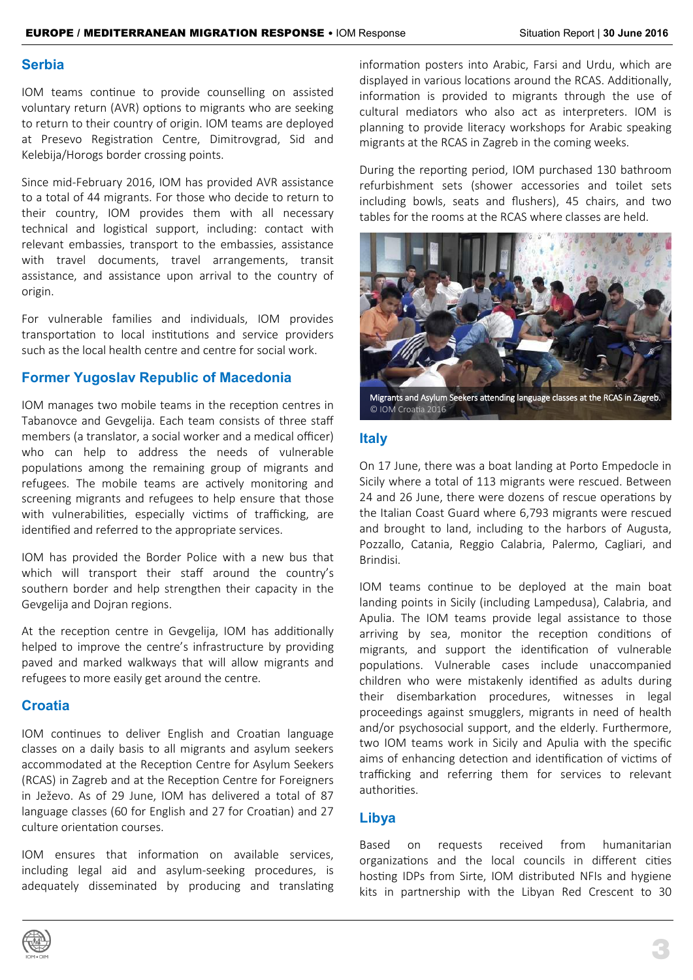### **Serbia**

IOM teams continue to provide counselling on assisted voluntary return (AVR) options to migrants who are seeking to return to their country of origin. IOM teams are deployed at Presevo Registration Centre, Dimitrovgrad, Sid and Kelebija/Horogs border crossing points.

Since mid-February 2016, IOM has provided AVR assistance to a total of 44 migrants. For those who decide to return to their country, IOM provides them with all necessary technical and logistical support, including: contact with relevant embassies, transport to the embassies, assistance with travel documents, travel arrangements, transit assistance, and assistance upon arrival to the country of origin.

For vulnerable families and individuals, IOM provides transportation to local institutions and service providers such as the local health centre and centre for social work.

## **Former Yugoslav Republic of Macedonia**

IOM manages two mobile teams in the reception centres in Tabanovce and Gevgelija. Each team consists of three staff members (a translator, a social worker and a medical officer) who can help to address the needs of vulnerable populations among the remaining group of migrants and refugees. The mobile teams are actively monitoring and screening migrants and refugees to help ensure that those with vulnerabilities, especially victims of trafficking, are identified and referred to the appropriate services.

IOM has provided the Border Police with a new bus that which will transport their staff around the country's southern border and help strengthen their capacity in the Gevgelija and Dojran regions.

At the reception centre in Gevgelija, IOM has additionally helped to improve the centre's infrastructure by providing paved and marked walkways that will allow migrants and refugees to more easily get around the centre.

### **Croatia**

IOM continues to deliver English and Croatian language classes on a daily basis to all migrants and asylum seekers accommodated at the Reception Centre for Asylum Seekers (RCAS) in Zagreb and at the Reception Centre for Foreigners in Ježevo. As of 29 June, IOM has delivered a total of 87 language classes (60 for English and 27 for Croatian) and 27 culture orientation courses.

IOM ensures that information on available services, including legal aid and asylum-seeking procedures, is adequately disseminated by producing and translating information posters into Arabic, Farsi and Urdu, which are displayed in various locations around the RCAS. Additionally, information is provided to migrants through the use of cultural mediators who also act as interpreters. IOM is planning to provide literacy workshops for Arabic speaking migrants at the RCAS in Zagreb in the coming weeks.

During the reporting period, IOM purchased 130 bathroom refurbishment sets (shower accessories and toilet sets including bowls, seats and flushers), 45 chairs, and two tables for the rooms at the RCAS where classes are held.



Migrants and Asylum Seekers attending language classes at the RCAS in Zagreb. © IOM Croatia 2016

### **Italy**

On 17 June, there was a boat landing at Porto Empedocle in Sicily where a total of 113 migrants were rescued. Between 24 and 26 June, there were dozens of rescue operations by the Italian Coast Guard where 6,793 migrants were rescued and brought to land, including to the harbors of Augusta, Pozzallo, Catania, Reggio Calabria, Palermo, Cagliari, and Brindisi.

IOM teams continue to be deployed at the main boat landing points in Sicily (including Lampedusa), Calabria, and Apulia. The IOM teams provide legal assistance to those arriving by sea, monitor the reception conditions of migrants, and support the identification of vulnerable populations. Vulnerable cases include unaccompanied children who were mistakenly identified as adults during their disembarkation procedures, witnesses in legal proceedings against smugglers, migrants in need of health and/or psychosocial support, and the elderly. Furthermore, two IOM teams work in Sicily and Apulia with the specific aims of enhancing detection and identification of victims of trafficking and referring them for services to relevant authorities.

### **Libya**

Based on requests received from humanitarian organizations and the local councils in different cities hosting IDPs from Sirte, IOM distributed NFIs and hygiene kits in partnership with the Libyan Red Crescent to 30

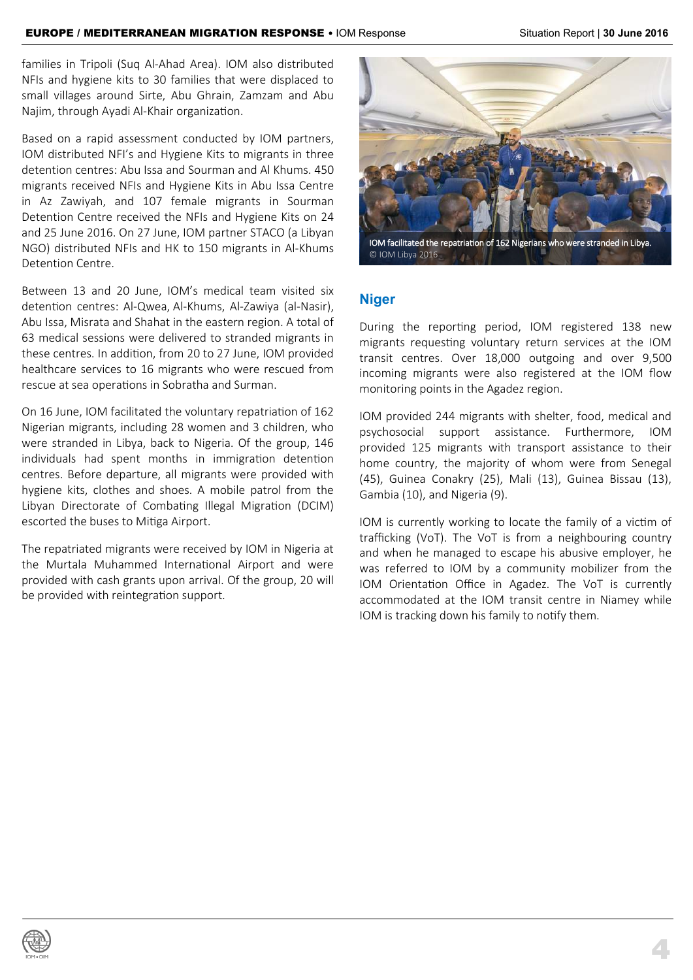families in Tripoli (Suq Al-Ahad Area). IOM also distributed NFIs and hygiene kits to 30 families that were displaced to small villages around Sirte, Abu Ghrain, Zamzam and Abu Najim, through Ayadi Al-Khair organization.

Based on a rapid assessment conducted by IOM partners, IOM distributed NFI's and Hygiene Kits to migrants in three detention centres: Abu Issa and Sourman and Al Khums. 450 migrants received NFIs and Hygiene Kits in Abu Issa Centre in Az Zawiyah, and 107 female migrants in Sourman Detention Centre received the NFIs and Hygiene Kits on 24 and 25 June 2016. On 27 June, IOM partner STACO (a Libyan NGO) distributed NFIs and HK to 150 migrants in Al-Khums Detention Centre.

Between 13 and 20 June, IOM's medical team visited six detention centres: Al-Qwea, Al-Khums, Al-Zawiya (al-Nasir), Abu Issa, Misrata and Shahat in the eastern region. A total of 63 medical sessions were delivered to stranded migrants in these centres. In addition, from 20 to 27 June, IOM provided healthcare services to 16 migrants who were rescued from rescue at sea operations in Sobratha and Surman.

On 16 June, IOM facilitated the voluntary repatriation of 162 Nigerian migrants, including 28 women and 3 children, who were stranded in Libya, back to Nigeria. Of the group, 146 individuals had spent months in immigration detention centres. Before departure, all migrants were provided with hygiene kits, clothes and shoes. A mobile patrol from the Libyan Directorate of Combating Illegal Migration (DCIM) escorted the buses to Mitiga Airport.

The repatriated migrants were received by IOM in Nigeria at the Murtala Muhammed International Airport and were provided with cash grants upon arrival. Of the group, 20 will be provided with reintegration support.



IOM facilitated the repatriation of 162 Nigerians who were stranded in Libya. © IOM Libya 2016

## **Niger**

During the reporting period, IOM registered 138 new migrants requesting voluntary return services at the IOM transit centres. Over 18,000 outgoing and over 9,500 incoming migrants were also registered at the IOM flow monitoring points in the Agadez region.

IOM provided 244 migrants with shelter, food, medical and psychosocial support assistance. Furthermore, IOM provided 125 migrants with transport assistance to their home country, the majority of whom were from Senegal (45), Guinea Conakry (25), Mali (13), Guinea Bissau (13), Gambia (10), and Nigeria (9).

IOM is currently working to locate the family of a victim of trafficking (VoT). The VoT is from a neighbouring country and when he managed to escape his abusive employer, he was referred to IOM by a community mobilizer from the IOM Orientation Office in Agadez. The VoT is currently accommodated at the IOM transit centre in Niamey while IOM is tracking down his family to notify them.

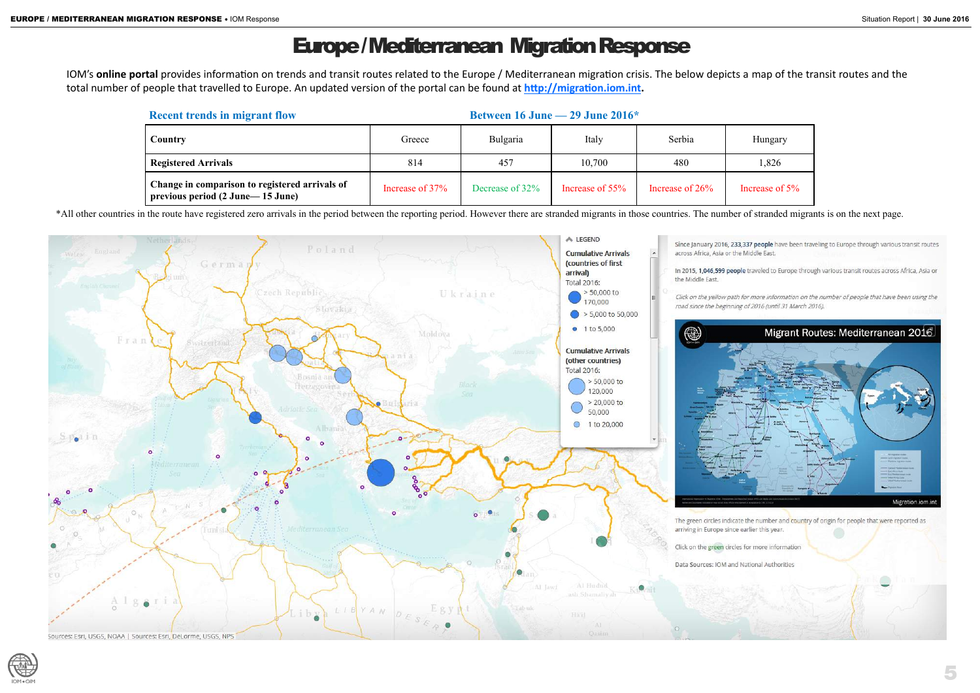# Europe / Mediterranean Migration Response

IOM's **online portal** provides information on trends and transit routes related to the Europe / Mediterranean migration crisis. The below depicts a map of the transit routes and the total number of people that travelled to Europe. An updated version of the portal can be found at **[http://migration.iom.int.](http://migration.iom.int)** 

\*All other countries in the route have registered zero arrivals in the period between the reporting period. However there are stranded migrants in those countries. The number of stranded migrants is on the next page.





Increase of 5%

| <b>Recent trends in migrant flow</b>                                                 |                 | Between 16 June $-$ 29 June 2016 $*$ |                 |                    |             |
|--------------------------------------------------------------------------------------|-----------------|--------------------------------------|-----------------|--------------------|-------------|
| <b>Country</b>                                                                       | Greece          | <b>Bulgaria</b>                      | Italy           | Serbia             | Hungary     |
| <b>Registered Arrivals</b>                                                           | 814             | 457                                  | 10,700          | 480                | 1,826       |
| Change in comparison to registered arrivals of<br>previous period (2 June – 15 June) | Increase of 37% | Decrease of 32%                      | Increase of 55% | Increase of $26\%$ | Increase of |